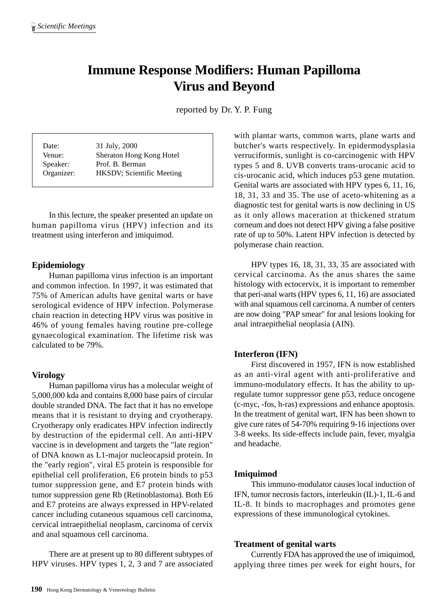# **Immune Response Modifiers: Human Papilloma Virus and Beyond**

reported by Dr. Y. P. Fung

| Date:      | 31 July, 2000             |
|------------|---------------------------|
| Venue:     | Sheraton Hong Kong Hotel  |
| Speaker:   | Prof. B. Berman           |
| Organizer: | HKSDV; Scientific Meeting |

In this lecture, the speaker presented an update on human papilloma virus (HPV) infection and its treatment using interferon and imiquimod.

## **Epidemiology**

Human papilloma virus infection is an important and common infection. In 1997, it was estimated that 75% of American adults have genital warts or have serological evidence of HPV infection. Polymerase chain reaction in detecting HPV virus was positive in 46% of young females having routine pre-college gynaecological examination. The lifetime risk was calculated to be 79%.

# **Virology**

Human papilloma virus has a molecular weight of 5,000,000 kda and contains 8,000 base pairs of circular double stranded DNA. The fact that it has no envelope means that it is resistant to drying and cryotherapy. Cryotherapy only eradicates HPV infection indirectly by destruction of the epidermal cell. An anti-HPV vaccine is in development and targets the "late region" of DNA known as L1-major nucleocapsid protein. In the "early region", viral E5 protein is responsible for epithelial cell proliferation, E6 protein binds to p53 tumor suppression gene, and E7 protein binds with tumor suppression gene Rb (Retinoblastoma). Both E6 and E7 proteins are always expressed in HPV-related cancer including cutaneous squamous cell carcinoma, cervical intraepithelial neoplasm, carcinoma of cervix and anal squamous cell carcinoma.

There are at present up to 80 different subtypes of HPV viruses. HPV types 1, 2, 3 and 7 are associated

with plantar warts, common warts, plane warts and butcher's warts respectively. In epidermodysplasia verruciformis, sunlight is co-carcinogenic with HPV types 5 and 8. UVB converts trans-urocanic acid to cis-urocanic acid, which induces p53 gene mutation. Genital warts are associated with HPV types 6, 11, 16, 18, 31, 33 and 35. The use of aceto-whitening as a diagnostic test for genital warts is now declining in US as it only allows maceration at thickened stratum corneum and does not detect HPV giving a false positive rate of up to 50%. Latent HPV infection is detected by polymerase chain reaction.

HPV types 16, 18, 31, 33, 35 are associated with cervical carcinoma. As the anus shares the same histology with ectocervix, it is important to remember that peri-anal warts (HPV types 6, 11, 16) are associated with anal squamous cell carcinoma. A number of centers are now doing "PAP smear" for anal lesions looking for anal intraepithelial neoplasia (AIN).

# **Interferon (IFN)**

First discovered in 1957, IFN is now established as an anti-viral agent with anti-proliferative and immuno-modulatory effects. It has the ability to upregulate tumor suppressor gene p53, reduce oncogene (c-myc, -fos, h-ras) expressions and enhance apoptosis. In the treatment of genital wart, IFN has been shown to give cure rates of 54-70% requiring 9-16 injections over 3-8 weeks. Its side-effects include pain, fever, myalgia and headache.

### **Imiquimod**

This immuno-modulator causes local induction of IFN, tumor necrosis factors, interleukin (IL)-1, IL-6 and IL-8. It binds to macrophages and promotes gene expressions of these immunological cytokines.

#### **Treatment of genital warts**

Currently FDA has approved the use of imiquimod, applying three times per week for eight hours, for